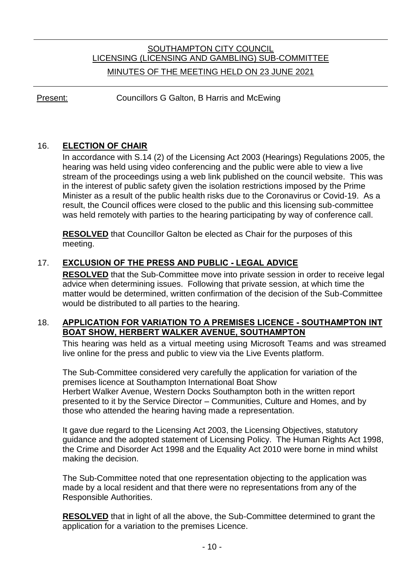# SOUTHAMPTON CITY COUNCIL LICENSING (LICENSING AND GAMBLING) SUB-COMMITTEE MINUTES OF THE MEETING HELD ON 23 JUNE 2021

Present: Councillors G Galton, B Harris and McEwing

### 16. **ELECTION OF CHAIR**

In accordance with S.14 (2) of the Licensing Act 2003 (Hearings) Regulations 2005, the hearing was held using video conferencing and the public were able to view a live stream of the proceedings using a web link published on the council website. This was in the interest of public safety given the isolation restrictions imposed by the Prime Minister as a result of the public health risks due to the Coronavirus or Covid-19. As a result, the Council offices were closed to the public and this licensing sub-committee was held remotely with parties to the hearing participating by way of conference call.

**RESOLVED** that Councillor Galton be elected as Chair for the purposes of this meeting.

## 17. **EXCLUSION OF THE PRESS AND PUBLIC - LEGAL ADVICE**

**RESOLVED** that the Sub-Committee move into private session in order to receive legal advice when determining issues. Following that private session, at which time the matter would be determined, written confirmation of the decision of the Sub-Committee would be distributed to all parties to the hearing.

#### 18. **APPLICATION FOR VARIATION TO A PREMISES LICENCE - SOUTHAMPTON INT BOAT SHOW, HERBERT WALKER AVENUE, SOUTHAMPTON**

This hearing was held as a virtual meeting using Microsoft Teams and was streamed live online for the press and public to view via the Live Events platform.

The Sub-Committee considered very carefully the application for variation of the premises licence at Southampton International Boat Show Herbert Walker Avenue, Western Docks Southampton both in the written report presented to it by the Service Director – Communities, Culture and Homes, and by those who attended the hearing having made a representation.

It gave due regard to the Licensing Act 2003, the Licensing Objectives, statutory guidance and the adopted statement of Licensing Policy. The Human Rights Act 1998, the Crime and Disorder Act 1998 and the Equality Act 2010 were borne in mind whilst making the decision.

The Sub-Committee noted that one representation objecting to the application was made by a local resident and that there were no representations from any of the Responsible Authorities.

**RESOLVED** that in light of all the above, the Sub-Committee determined to grant the application for a variation to the premises Licence.